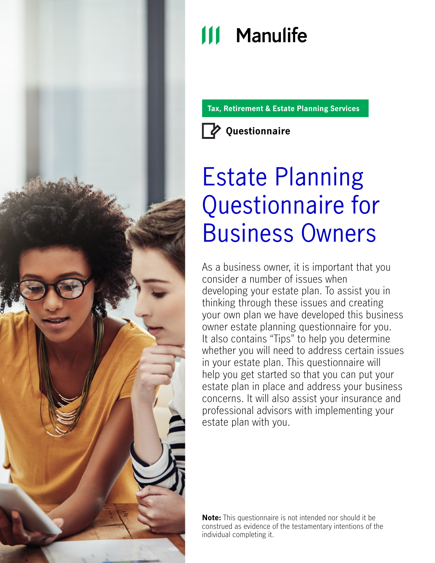

# **111 Manulife**

**Tax, Retirement & Estate Planning Services**



**Questionnaire**

# Estate Planning Questionnaire for Business Owners

As a business owner, it is important that you consider a number of issues when developing your estate plan. To assist you in thinking through these issues and creating your own plan we have developed this business owner estate planning questionnaire for you. It also contains "Tips" to help you determine whether you will need to address certain issues in your estate plan. This questionnaire will help you get started so that you can put your estate plan in place and address your business concerns. It will also assist your insurance and professional advisors with implementing your estate plan with you.

**Note:** This questionnaire is not intended nor should it be construed as evidence of the testamentary intentions of the individual completing it.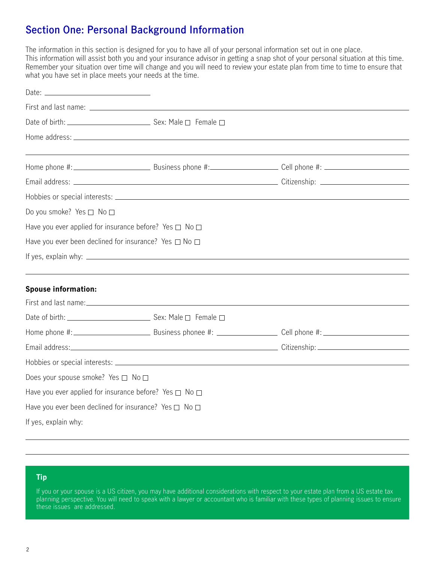# **Section One: Personal Background Information**

The information in this section is designed for you to have all of your personal information set out in one place. This information will assist both you and your insurance advisor in getting a snap shot of your personal situation at this time. Remember your situation over time will change and you will need to review your estate plan from time to time to ensure that what you have set in place meets your needs at the time.

| Date: $\qquad \qquad$              |                                                                        |  |
|------------------------------------|------------------------------------------------------------------------|--|
|                                    |                                                                        |  |
|                                    |                                                                        |  |
|                                    |                                                                        |  |
|                                    |                                                                        |  |
|                                    |                                                                        |  |
|                                    |                                                                        |  |
|                                    |                                                                        |  |
| Do you smoke? Yes □ No □           |                                                                        |  |
|                                    | Have you ever applied for insurance before? Yes $\square$ No $\square$ |  |
|                                    | Have you ever been declined for insurance? Yes $\Box$ No $\Box$        |  |
|                                    |                                                                        |  |
|                                    |                                                                        |  |
| <b>Spouse information:</b>         |                                                                        |  |
|                                    |                                                                        |  |
|                                    |                                                                        |  |
|                                    |                                                                        |  |
|                                    |                                                                        |  |
|                                    |                                                                        |  |
| Does your spouse smoke? Yes □ No □ |                                                                        |  |
|                                    | Have you ever applied for insurance before? Yes $\Box$ No $\Box$       |  |
|                                    | Have you ever been declined for insurance? Yes $\Box$ No $\Box$        |  |

If yes, explain why:

## **Tip**

L

 $\overline{a}$ 

If you or your spouse is a US citizen, you may have additional considerations with respect to your estate plan from a US estate tax planning perspective. You will need to speak with a lawyer or accountant who is familiar with these types of planning issues to ensure these issues are addressed.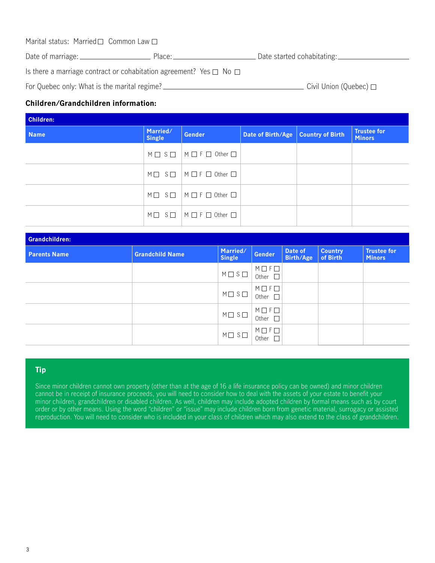| Marital status: Married□ Common Law□ |        |                            |
|--------------------------------------|--------|----------------------------|
| Date of marriage: _                  | Place: | Date started cohabitating: |

Is there a marriage contract or cohabitation agreement? Yes  $\Box$  No  $\Box$ 

For Quebec only: What is the marital regime?  $\Box$  Civil Union (Quebec)  $\Box$ 

## **Children/Grandchildren information:**

| <b>Children:</b> |                    |                                                                   |                                      |  |                                     |
|------------------|--------------------|-------------------------------------------------------------------|--------------------------------------|--|-------------------------------------|
| <b>Name</b>      | Married/<br>Single | <b>Gender</b>                                                     | Date of Birth/Age   Country of Birth |  | <b>Trustee for</b><br><b>Minors</b> |
|                  |                    | $M \square$ S $\square$   $M \square$ F $\square$ Other $\square$ |                                      |  |                                     |
|                  |                    | $M \square$ S $\square$   $M \square$ F $\square$ Other $\square$ |                                      |  |                                     |
|                  |                    | $M \Box$ $S \Box$ $M \Box F \Box$ Other $\Box$                    |                                      |  |                                     |
|                  |                    | $M \Box$ $S \Box$ $M \Box$ F $\Box$ Other $\Box$                  |                                      |  |                                     |

| Grandchildren:      |                        |                           |                                                 |                      |                            |                                     |
|---------------------|------------------------|---------------------------|-------------------------------------------------|----------------------|----------------------------|-------------------------------------|
| <b>Parents Name</b> | <b>Grandchild Name</b> | Married/<br><b>Single</b> | Gender                                          | Date of<br>Birth/Age | <b>Country</b><br>of Birth | <b>Trustee for</b><br><b>Minors</b> |
|                     |                        | $M \square S \square$     | $M \Box F \Box$<br>Other $\square$              |                      |                            |                                     |
|                     |                        | $M \Box S \Box$           | $M \square F \square$<br>Other<br>$\mathcal{L}$ |                      |                            |                                     |
|                     |                        | $M \square$ $S \square$   | $M \Box F \Box$<br>$\Box$<br>Other              |                      |                            |                                     |
|                     |                        | $M \square$ $S \square$   | $M \square F \square$<br>Other                  |                      |                            |                                     |

### **Tip**

Since minor children cannot own property (other than at the age of 16 a life insurance policy can be owned) and minor children cannot be in receipt of insurance proceeds, you will need to consider how to deal with the assets of your estate to benefit your minor children, grandchildren or disabled children. As well, children may include adopted children by formal means such as by court order or by other means. Using the word "children" or "issue" may include children born from genetic material, surrogacy or assisted reproduction. You will need to consider who is included in your class of children which may also extend to the class of grandchildren.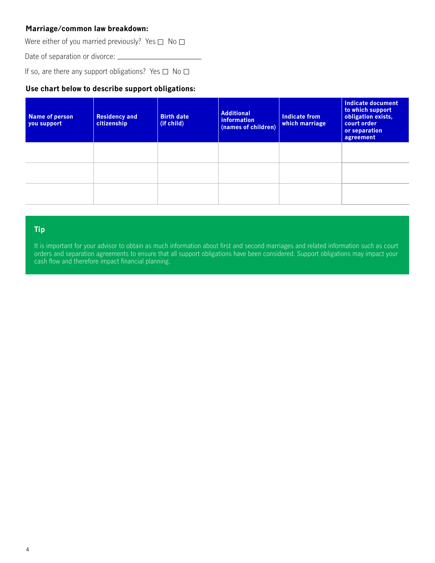## **Marriage/common law breakdown:**

Were either of you married previously? Yes  $\square$  No  $\square$ 

Date of separation or divorce: \_\_\_\_\_\_\_\_

If so, are there any support obligations? Yes  $\Box$  No  $\Box$ 

## **Use chart below to describe support obligations:**

| Name of person<br>you support | <b>Residency and</b><br>citizenship | <b>Birth date</b><br>(if child) | <b>Additional</b><br><i>information</i><br>(names of children) | Indicate from<br>which marriage | Indicate document<br>to which support<br>obligation exists,<br>court order<br>or separation<br>agreement |
|-------------------------------|-------------------------------------|---------------------------------|----------------------------------------------------------------|---------------------------------|----------------------------------------------------------------------------------------------------------|
|                               |                                     |                                 |                                                                |                                 |                                                                                                          |
|                               |                                     |                                 |                                                                |                                 |                                                                                                          |
|                               |                                     |                                 |                                                                |                                 |                                                                                                          |

## **Tip**

It is important for your advisor to obtain as much information about first and second marriages and related information such as court orders and separation agreements to ensure that all support obligations have been considered. Support obligations may impact your cash flow and therefore impact financial planning.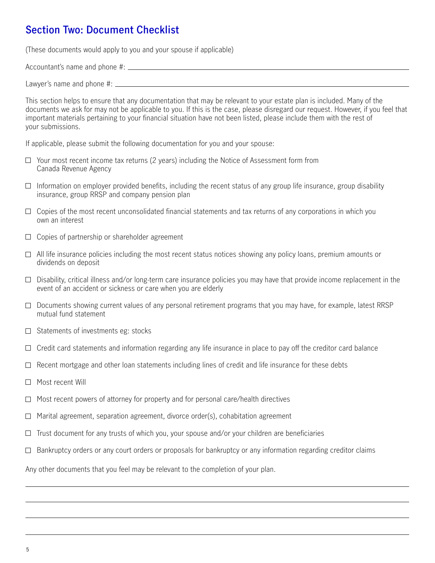# **Section Two: Document Checklist**

(These documents would apply to you and your spouse if applicable)

Accountant's name and phone #:

Lawyer's name and phone #:

This section helps to ensure that any documentation that may be relevant to your estate plan is included. Many of the documents we ask for may not be applicable to you. If this is the case, please disregard our request. However, if you feel that important materials pertaining to your financial situation have not been listed, please include them with the rest of your submissions.

If applicable, please submit the following documentation for you and your spouse:

- $\Box$  Your most recent income tax returns (2 years) including the Notice of Assessment form from Canada Revenue Agency
- $\Box$  Information on employer provided benefits, including the recent status of any group life insurance, group disability insurance, group RRSP and company pension plan
- $\Box$  Copies of the most recent unconsolidated financial statements and tax returns of any corporations in which you own an interest
- $\Box$  Copies of partnership or shareholder agreement
- $\Box$  All life insurance policies including the most recent status notices showing any policy loans, premium amounts or dividends on deposit
- $\Box$  Disability, critical illness and/or long-term care insurance policies you may have that provide income replacement in the event of an accident or sickness or care when you are elderly
- $\Box$  Documents showing current values of any personal retirement programs that you may have, for example, latest RRSP mutual fund statement
- $\Box$  Statements of investments eg: stocks
- $\Box$  Credit card statements and information regarding any life insurance in place to pay off the creditor card balance
- $\Box$  Recent mortgage and other loan statements including lines of credit and life insurance for these debts
- $\Box$  Most recent Will
- $\Box$  Most recent powers of attorney for property and for personal care/health directives
- $\Box$  Marital agreement, separation agreement, divorce order(s), cohabitation agreement
- $\Box$  Trust document for any trusts of which you, your spouse and/or your children are beneficiaries
- $\Box$  Bankruptcy orders or any court orders or proposals for bankruptcy or any information regarding creditor claims

Any other documents that you feel may be relevant to the completion of your plan.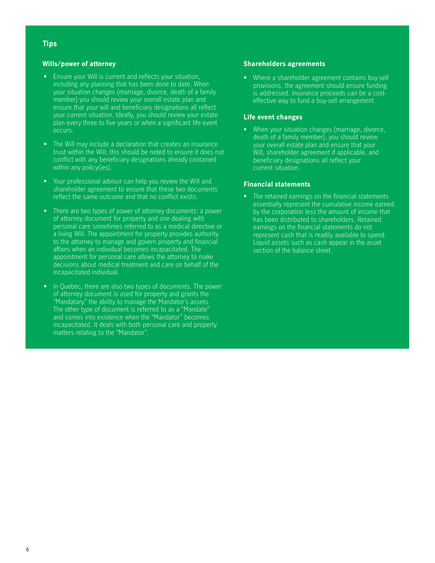#### **Tips**

#### **Wills/power of attorney**

- Ensure your Will is current and reflects your situation, including any planning that has been done to date. When your situation changes (marriage, divorce, death of a family member) you should review your overall estate plan and ensure that your will and beneficiary designations all reflect your current situation. Ideally, you should review your estate plan every three to five years or when a significant life event occurs.
- The Will may include a declaration that creates an insurance trust within the Will; this should be noted to ensure it does not conflict with any beneficiary designations already contained within any policy(ies).
- Your professional advisor can help you review the Will and shareholder agreement to ensure that these two documents reflect the same outcome and that no conflict exists.
- There are two types of power of attorney documents: a power of attorney document for property and one dealing with personal care sometimes referred to as a medical directive or a living Will. The appointment for property provides authority to the attorney to manage and govern property and financial affairs when an individual becomes incapacitated. The appointment for personal care allows the attorney to make decisions about medical treatment and care on behalf of the incapacitated individual.
- In Quebec, there are also two types of documents. The power of attorney document is used for property and grants the "Mandatary" the ability to manage the Mandator's assets. The other type of document is referred to as a "Mandate" and comes into existence when the "Mandator" becomes incapacitated. It deals with both personal care and property matters relating to the "Mandator".

#### **Shareholders agreements**

• Where a shareholder agreement contains buy-sell provisions, the agreement should ensure funding is addressed. Insurance proceeds can be a costeffective way to fund a buy-sell arrangement.

#### **Life event changes**

• When your situation changes (marriage, divorce, death of a family member), you should review your overall estate plan and ensure that your Will, shareholder agreement if applicable, and beneficiary designations all reflect your current situation.

#### **Financial statements**

• The retained earnings on the financial statements essentially represent the cumulative income earned by the corporation less the amount of income that has been distributed to shareholders. Retained earnings on the financial statements do not represent cash that is readily available to spend. Liquid assets such as cash appear in the asset section of the balance sheet.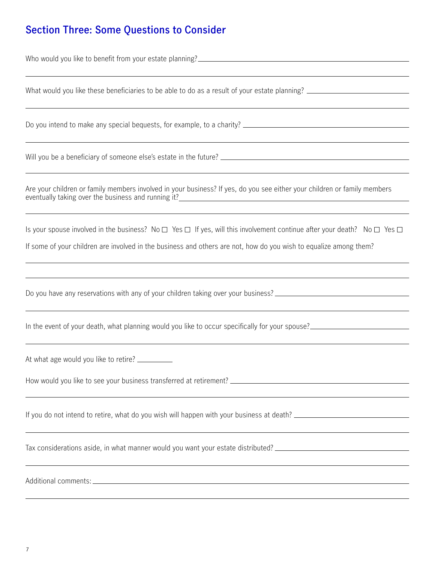# **Section Three: Some Questions to Consider**

Who would you like to benefit from your estate planning?<br>
<u>Example 2008</u>

What would you like these beneficiaries to be able to do as a result of your estate planning?

Do you intend to make any special bequests, for example, to a charity?

Will you be a beneficiary of someone else's estate in the future?

Are your children or family members involved in your business? If yes, do you see either your children or family members eventually taking over the business and running it?<br>
<u>Eventually</u> taking over the business and running it?

Is your spouse involved in the business? No  $\Box$  Yes  $\Box$  If yes, will this involvement continue after your death? No  $\Box$  Yes  $\Box$ 

If some of your children are involved in the business and others are not, how do you wish to equalize among them?

Do you have any reservations with any of your children taking over your business? \_\_\_\_\_\_\_\_\_\_\_\_\_\_\_\_\_\_\_\_\_\_\_\_\_\_\_\_

In the event of your death, what planning would you like to occur specifically for your spouse?

At what age would you like to retire? \_\_\_\_\_\_\_\_\_\_

How would you like to see your business transferred at retirement?

If you do not intend to retire, what do you wish will happen with your business at death?

Tax considerations aside, in what manner would you want your estate distributed?

Additional comments: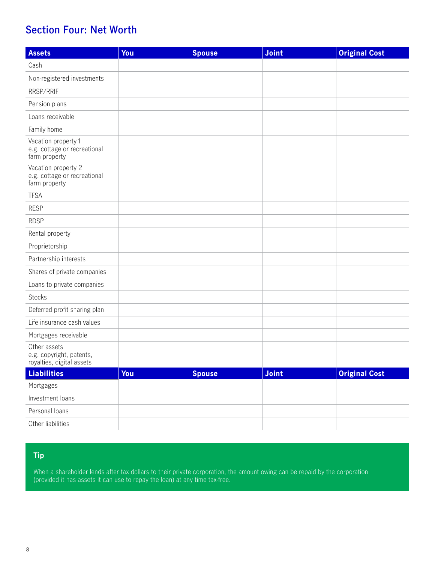# **Section Four: Net Worth**

| <b>Assets</b>                                                         | You | <b>Spouse</b> | Joint | <b>Original Cost</b> |
|-----------------------------------------------------------------------|-----|---------------|-------|----------------------|
| Cash                                                                  |     |               |       |                      |
| Non-registered investments                                            |     |               |       |                      |
| RRSP/RRIF                                                             |     |               |       |                      |
| Pension plans                                                         |     |               |       |                      |
| Loans receivable                                                      |     |               |       |                      |
| Family home                                                           |     |               |       |                      |
| Vacation property 1<br>e.g. cottage or recreational<br>farm property  |     |               |       |                      |
| Vacation property 2<br>e.g. cottage or recreational<br>farm property  |     |               |       |                      |
| <b>TFSA</b>                                                           |     |               |       |                      |
| <b>RESP</b>                                                           |     |               |       |                      |
| <b>RDSP</b>                                                           |     |               |       |                      |
| Rental property                                                       |     |               |       |                      |
| Proprietorship                                                        |     |               |       |                      |
| Partnership interests                                                 |     |               |       |                      |
| Shares of private companies                                           |     |               |       |                      |
| Loans to private companies                                            |     |               |       |                      |
| Stocks                                                                |     |               |       |                      |
| Deferred profit sharing plan                                          |     |               |       |                      |
| Life insurance cash values                                            |     |               |       |                      |
| Mortgages receivable                                                  |     |               |       |                      |
| Other assets<br>e.g. copyright, patents,<br>royalties, digital assets |     |               |       |                      |
| <b>Liabilities</b>                                                    | You | <b>Spouse</b> | Joint | <b>Original Cost</b> |
| Mortgages                                                             |     |               |       |                      |
| Investment loans                                                      |     |               |       |                      |
| Personal loans                                                        |     |               |       |                      |
| Other liabilities                                                     |     |               |       |                      |

## **Tip**

When a shareholder lends after tax dollars to their private corporation, the amount owing can be repaid by the corporation (provided it has assets it can use to repay the loan) at any time tax-free.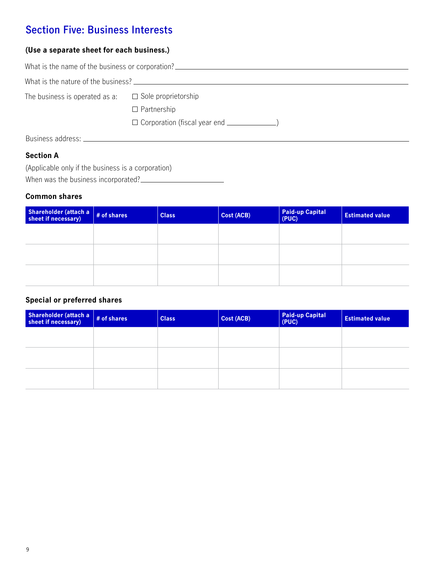# **Section Five: Business Interests**

## **(Use a separate sheet for each business.)**

|                                                              | What is the name of the business or corporation? _______________________________ |
|--------------------------------------------------------------|----------------------------------------------------------------------------------|
|                                                              |                                                                                  |
| The business is operated as a: $\square$ Sole proprietorship | $\Box$ Partnership<br>$\Box$ Corporation (fiscal year end $\Box$                 |
| Business address: _                                          |                                                                                  |

**Section A**

(Applicable only if the business is a corporation) When was the business incorporated?

## **Common shares**

| Shareholder (attach a $\frac{1}{2}$ # of shares<br><b>Class</b> | Cost (ACB) | <b>Paid-up Capital</b><br>(PUC) | <b>Estimated value</b> |
|-----------------------------------------------------------------|------------|---------------------------------|------------------------|
|                                                                 |            |                                 |                        |
|                                                                 |            |                                 |                        |
|                                                                 |            |                                 |                        |
|                                                                 |            |                                 |                        |

## **Special or preferred shares**

| Shareholder (attach a $\frac{1}{2}$ # of shares | <b>Class</b> | Cost (ACB) | <b>Paid-up Capital</b><br>(PUC) | <b>Estimated value</b> |
|-------------------------------------------------|--------------|------------|---------------------------------|------------------------|
|                                                 |              |            |                                 |                        |
|                                                 |              |            |                                 |                        |
|                                                 |              |            |                                 |                        |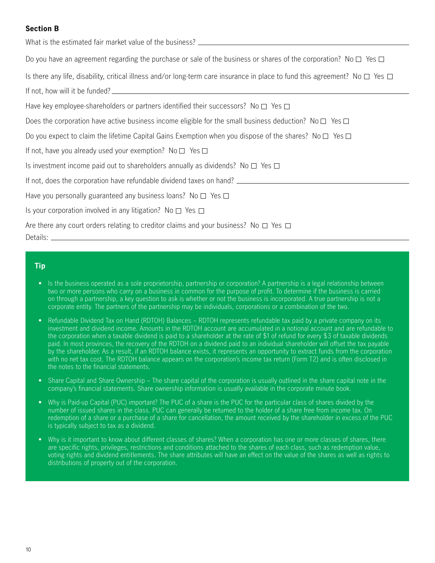## **Section B**

| What is the estimated fair market value of the business? ________________________                                                           |
|---------------------------------------------------------------------------------------------------------------------------------------------|
| Do you have an agreement regarding the purchase or sale of the business or shares of the corporation? No $\Box$ Yes $\Box$                  |
| Is there any life, disability, critical illness and/or long-term care insurance in place to fund this agreement? No $\square$ Yes $\square$ |
| If not, how will it be funded?                                                                                                              |
| Have key employee-shareholders or partners identified their successors? No $\square$ Yes $\square$                                          |
| Does the corporation have active business income eligible for the small business deduction? No $\square$ Yes $\square$                      |
| Do you expect to claim the lifetime Capital Gains Exemption when you dispose of the shares? No $\square$ Yes $\square$                      |
| If not, have you already used your exemption? No $\square$ Yes $\square$                                                                    |
| Is investment income paid out to shareholders annually as dividends? No $\Box$ Yes $\Box$                                                   |
|                                                                                                                                             |
| Have you personally guaranteed any business loans? No $\square$ Yes $\square$                                                               |
| Is your corporation involved in any litigation? No $\Box$ Yes $\Box$                                                                        |
| Are there any court orders relating to creditor claims and your business? No $\square$ Yes $\square$                                        |

### **Tip**

- Is the business operated as a sole proprietorship, partnership or corporation? A partnership is a legal relationship between two or more persons who carry on a business in common for the purpose of profit. To determine if the business is carried on through a partnership, a key question to ask is whether or not the business is incorporated. A true partnership is not a corporate entity. The partners of the partnership may be individuals, corporations or a combination of the two.
- Refundable Dividend Tax on Hand (RDTOH) Balances RDTOH represents refundable tax paid by a private company on its investment and dividend income. Amounts in the RDTOH account are accumulated in a notional account and are refundable to the corporation when a taxable dividend is paid to a shareholder at the rate of \$1 of refund for every \$3 of taxable dividends paid. In most provinces, the recovery of the RDTOH on a dividend paid to an individual shareholder will offset the tax payable by the shareholder. As a result, if an RDTOH balance exists, it represents an opportunity to extract funds from the corporation with no net tax cost. The RDTOH balance appears on the corporation's income tax return (Form T2) and is often disclosed in the notes to the financial statements.
- Share Capital and Share Ownership The share capital of the corporation is usually outlined in the share capital note in the company's financial statements. Share ownership information is usually available in the corporate minute book.
- Why is Paid-up Capital (PUC) important? The PUC of a share is the PUC for the particular class of shares divided by the number of issued shares in the class. PUC can generally be returned to the holder of a share free from income tax. On redemption of a share or a purchase of a share for cancellation, the amount received by the shareholder in excess of the PUC is typically subject to tax as a dividend.
- Why is it important to know about different classes of shares? When a corporation has one or more classes of shares, there are specific rights, privileges, restrictions and conditions attached to the shares of each class, such as redemption value, voting rights and dividend entitlements. The share attributes will have an effect on the value of the shares as well as rights to distributions of property out of the corporation.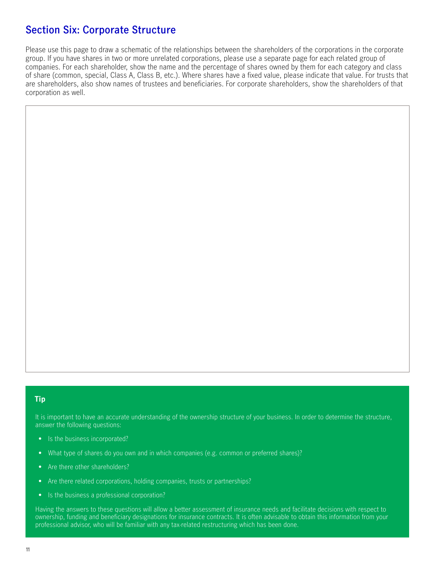## **Section Six: Corporate Structure**

Please use this page to draw a schematic of the relationships between the shareholders of the corporations in the corporate group. If you have shares in two or more unrelated corporations, please use a separate page for each related group of companies. For each shareholder, show the name and the percentage of shares owned by them for each category and class of share (common, special, Class A, Class B, etc.). Where shares have a fixed value, please indicate that value. For trusts that are shareholders, also show names of trustees and beneficiaries. For corporate shareholders, show the shareholders of that corporation as well.

#### **Tip**

It is important to have an accurate understanding of the ownership structure of your business. In order to determine the structure, answer the following questions:

- Is the business incorporated?
- What type of shares do you own and in which companies (e.g. common or preferred shares)?
- Are there other shareholders?
- Are there related corporations, holding companies, trusts or partnerships?
- Is the business a professional corporation?

Having the answers to these questions will allow a better assessment of insurance needs and facilitate decisions with respect to ownership, funding and beneficiary designations for insurance contracts. It is often advisable to obtain this information from your professional advisor, who will be familiar with any tax-related restructuring which has been done.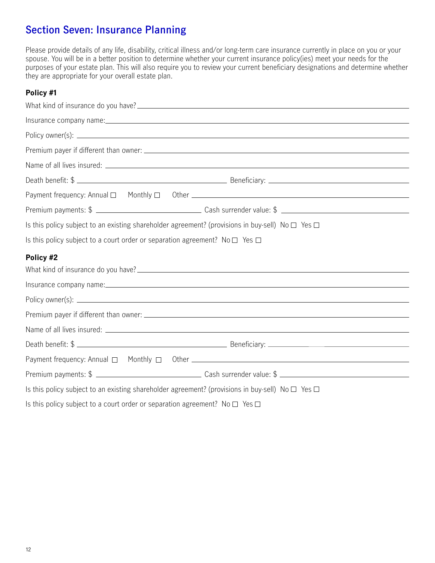# **Section Seven: Insurance Planning**

Please provide details of any life, disability, critical illness and/or long-term care insurance currently in place on you or your spouse. You will be in a better position to determine whether your current insurance policy(ies) meet your needs for the purposes of your estate plan. This will also require you to review your current beneficiary designations and determine whether they are appropriate for your overall estate plan.

## **Policy #1**

| Is this policy subject to an existing shareholder agreement? (provisions in buy-sell) No $\Box$ Yes $\Box$ |
|------------------------------------------------------------------------------------------------------------|
| Is this policy subject to a court order or separation agreement? No $\Box$ Yes $\Box$                      |
| Policy #2                                                                                                  |
|                                                                                                            |
|                                                                                                            |
|                                                                                                            |
|                                                                                                            |
|                                                                                                            |
|                                                                                                            |
|                                                                                                            |
| Is this policy subject to an existing shareholder agreement? (provisions in buy-sell) No $\Box$ Yes $\Box$ |
| Is this policy subject to a court order or separation agreement? No $\Box$ Yes $\Box$                      |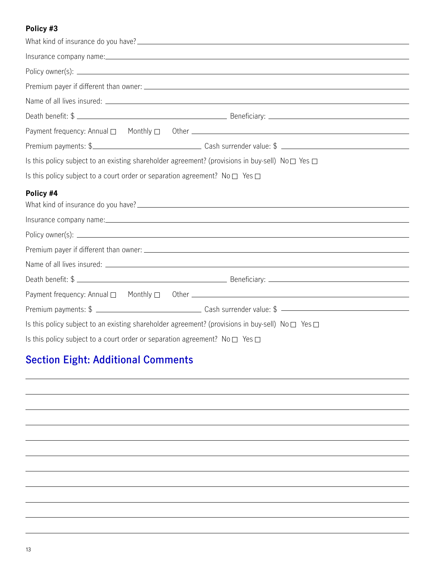## **Policy #3**

|                                                                                       | Death benefit: \$                                                                                                |
|---------------------------------------------------------------------------------------|------------------------------------------------------------------------------------------------------------------|
|                                                                                       |                                                                                                                  |
|                                                                                       | Premium payments: \$                                                                                             |
|                                                                                       | Is this policy subject to an existing shareholder agreement? (provisions in buy-sell) No $\square$ Yes $\square$ |
| Is this policy subject to a court order or separation agreement? No $\Box$ Yes $\Box$ |                                                                                                                  |
| Policy #4                                                                             |                                                                                                                  |
|                                                                                       |                                                                                                                  |
|                                                                                       |                                                                                                                  |
|                                                                                       |                                                                                                                  |
|                                                                                       |                                                                                                                  |
|                                                                                       | Death benefit: \$                                                                                                |
|                                                                                       |                                                                                                                  |
|                                                                                       |                                                                                                                  |
|                                                                                       | Is this policy subject to an existing shareholder agreement? (provisions in buy-sell) No $\square$ Yes $\square$ |
| Is this policy subject to a court order or separation agreement? No $\Box$ Yes $\Box$ |                                                                                                                  |

# **Section Eight: Additional Comments**